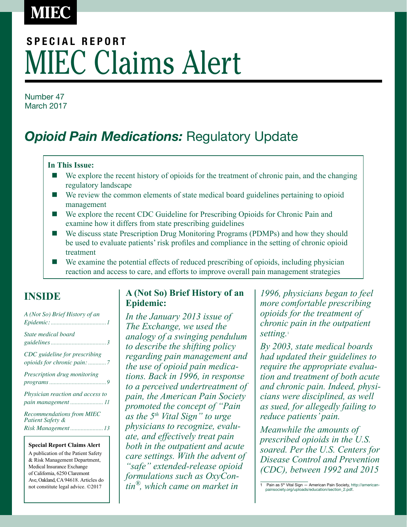# **MIEC**

# MIEC Claims Alert **SPECIAL REPORT**

Number 47 March 2017

# **Opioid Pain Medications: Regulatory Update**

#### **In This Issue:**

- $\blacksquare$  We explore the recent history of opioids for the treatment of chronic pain, and the changing regulatory landscape
- We review the common elements of state medical board guidelines pertaining to opioid management
- We explore the recent CDC Guideline for Prescribing Opioids for Chronic Pain and examine how it differs from state prescribing guidelines
- We discuss state Prescription Drug Monitoring Programs (PDMPs) and how they should be used to evaluate patients' risk profiles and compliance in the setting of chronic opioid treatment
- We examine the potential effects of reduced prescribing of opioids, including physician reaction and access to care, and efforts to improve overall pain management strategies

# **INSIDE**

| A (Not So) Brief History of an                               |
|--------------------------------------------------------------|
| State medical board                                          |
| CDC guideline for prescribing<br>opioids for chronic pain: 7 |
| Prescription drug monitoring                                 |
| Physician reaction and access to<br>pain management  11      |
| <b>Recommendations from MIEC</b><br>Patient Safety &         |
| Risk Management  13                                          |

#### **Special Report Claims Alert**

A publication of the Patient Safety & Risk Management Department, Medical Insurance Exchange of California, 6250 Claremont Ave, Oakland, CA 94618. Articles do not constitute legal advice. ©2017

#### **A (Not So) Brief History of an Epidemic:**

*In the January 2013 issue of The Exchange, we used the analogy of a swinging pendulum to describe the shifting policy regarding pain management and the use of opioid pain medications. Back in 1996, in response to a perceived undertreatment of pain, the American Pain Society promoted the concept of "Pain as the 5th Vital Sign" to urge physicians to recognize, evaluate, and effectively treat pain both in the outpatient and acute care settings. With the advent of "safe" extended-release opioid formulations such as OxyContin®, which came on market in* 

*1996, physicians began to feel more comfortable prescribing opioids for the treatment of chronic pain in the outpatient setting.*<sup>1</sup>

*By 2003, state medical boards had updated their guidelines to require the appropriate evaluation and treatment of both acute and chronic pain. Indeed, physicians were disciplined, as well as sued, for allegedly failing to reduce patients' pain.*

*Meanwhile the amounts of prescribed opioids in the U.S. soared. Per the U.S. Centers for Disease Control and Prevention (CDC), between 1992 and 2015* 

<sup>1</sup> Pain as 5<sup>th</sup> Vital Sign — American Pain Society, [http://american](http://americanpainsociety.org/uploads/education/section_2.pdf)[painsociety.org/uploads/education/section\\_2.pdf](http://americanpainsociety.org/uploads/education/section_2.pdf).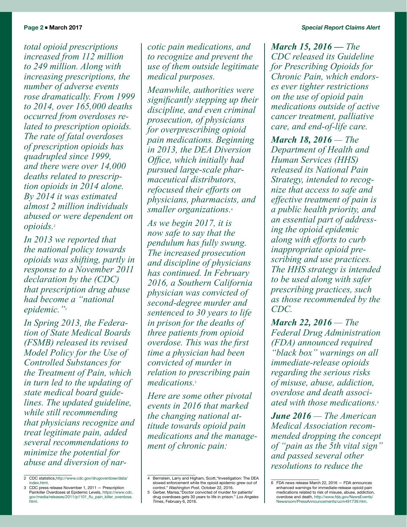*total opioid prescriptions increased from 112 million to 249 million. Along with increasing prescriptions, the number of adverse events rose dramatically. From 1999 to 2014, over 165,000 deaths occurred from overdoses related to prescription opioids. The rate of fatal overdoses of prescription opioids has quadrupled since 1999, and there were over 14,000 deaths related to prescription opioids in 2014 alone. By 2014 it was estimated almost 2 million individuals abused or were dependent on opioids.*<sup>2</sup>

*In 2013 we reported that the national policy towards opioids was shifting, partly in response to a November 2011 declaration by the (CDC) that prescription drug abuse had become a "national epidemic."*<sup>3</sup>

*In Spring 2013, the Federation of State Medical Boards (FSMB) released its revised Model Policy for the Use of Controlled Substances for the Treatment of Pain, which in turn led to the updating of state medical board guidelines. The updated guideline, while still recommending that physicians recognize and treat legitimate pain, added several recommendations to minimize the potential for abuse and diversion of nar-*

*Meanwhile, authorities were significantly stepping up their discipline, and even criminal prosecution, of physicians for overprescribing opioid pain medications. Beginning in 2013, the DEA Diversion Office, which initially had pursued large-scale pharmaceutical distributors, refocused their efforts on physicians, pharmacists, and smaller organizations.*<sup>4</sup>

*As we begin 2017, it is now safe to say that the pendulum has fully swung. The increased prosecution and discipline of physicians has continued. In February 2016, a Southern California physician was convicted of second-degree murder and sentenced to 30 years to life in prison for the deaths of three patients from opioid overdose. This was the first time a physician had been convicted of murder in relation to prescribing pain medications.*<sup>5</sup>

*Here are some other pivotal events in 2016 that marked the changing national attitude towards opioid pain medications and the management of chronic pain:*

*March 15, 2016 — The CDC released its Guideline for Prescribing Opioids for Chronic Pain, which endorses ever tighter restrictions on the use of opioid pain medications outside of active cancer treatment, palliative care, and end-of-life care.*

*March 18, 2016 — The Department of Health and Human Services (HHS) released its National Pain Strategy, intended to recognize that access to safe and effective treatment of pain is a public health priority, and an essential part of addressing the opioid epidemic along with efforts to curb inappropriate opioid prescribing and use practices. The HHS strategy is intended to be used along with safer prescribing practices, such as those recommended by the CDC.*

*March 22, 2016 — The Federal Drug Administration (FDA) announced required "black box" warnings on all immediate-release opioids regarding the serious risks of misuse, abuse, addiction, overdose and death associated with those medications.*<sup>6</sup>

*June 2016 — The American Medical Association recommended dropping the concept of "pain as the 5th vital sign" and passed several other resolutions to reduce the* 

<sup>2</sup> CDC statistics,[http://www.cdc.gov/drugoverdose/data/](http://www.cdc.gov/drugoverdose/data/index.html) [index.html.](http://www.cdc.gov/drugoverdose/data/index.html) 3 CDC press release November 1, 2011 — Prescription

Painkiller Overdoses at Epidemic Levels, [https://www.cdc.](https://www.cdc.gov/media/releases/2011/p1101_flu_pain_killer_overdose.html) [gov/media/releases/2011/p1101\\_flu\\_pain\\_killer\\_overdose.](https://www.cdc.gov/media/releases/2011/p1101_flu_pain_killer_overdose.html) [html.](https://www.cdc.gov/media/releases/2011/p1101_flu_pain_killer_overdose.html)

*cotic pain medications, and to recognize and prevent the use of them outside legitimate medical purposes.*

<sup>4</sup> Bernstein, Larry and Higham, Scott,"Investigation: The DEA slowed enforcement while the opioid epidemic grew out of control." *Washington Post*, October 22, 2016. 5 Gerber, Marisa,"Doctor convicted of murder for patients'

drug overdoses gets 30 years to life in prison." *Los Angeles Times*, February 6, 2016.

<sup>6</sup> FDA news release March 22, 2016 — FDA announces enhanced warnings for immediate-release opioid pain medications related to risk of misuse, abuse, addiction, overdose and death, [http://www.fda.gov/NewsEvents/](http://www.fda.gov/NewsEvents/Newsroom/PressAnnouncements/ucm491739.htm) [Newsroom/PressAnnouncements/ucm491739.htm](http://www.fda.gov/NewsEvents/Newsroom/PressAnnouncements/ucm491739.htm).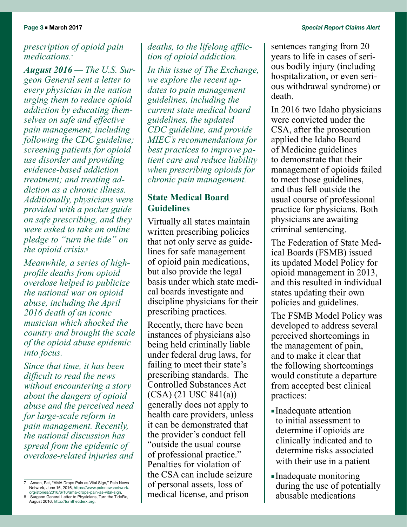#### <span id="page-2-0"></span>*prescription of opioid pain medications.*<sup>7</sup>

*August 2016 — The U.S. Surgeon General sent a letter to every physician in the nation urging them to reduce opioid addiction by educating themselves on safe and effective pain management, including following the CDC guideline; screening patients for opioid use disorder and providing evidence-based addiction treatment; and treating addiction as a chronic illness. Additionally, physicians were provided with a pocket guide on safe prescribing, and they were asked to take an online pledge to "turn the tide" on the opioid crisis.*<sup>8</sup>

*Meanwhile, a series of highprofile deaths from opioid overdose helped to publicize the national war on opioid abuse, including the April 2016 death of an iconic musician which shocked the country and brought the scale of the opioid abuse epidemic into focus.*

*Since that time, it has been difficult to read the news without encountering a story about the dangers of opioid abuse and the perceived need for large-scale reform in pain management. Recently, the national discussion has spread from the epidemic of overdose-related injuries and* 

# *deaths, to the lifelong affliction of opioid addiction.*

*In this issue of The Exchange, we explore the recent updates to pain management guidelines, including the current state medical board guidelines, the updated CDC guideline, and provide MIEC's recommendations for best practices to improve patient care and reduce liability when prescribing opioids for chronic pain management.*

# **State Medical Board Guidelines**

Virtually all states maintain written prescribing policies that not only serve as guidelines for safe management of opioid pain medications, but also provide the legal basis under which state medical boards investigate and discipline physicians for their prescribing practices.

Recently, there have been instances of physicians also being held criminally liable under federal drug laws, for failing to meet their state's prescribing standards. The Controlled Substances Act (CSA) (21 USC 841(a)) generally does not apply to health care providers, unless it can be demonstrated that the provider's conduct fell "outside the usual course of professional practice." Penalties for violation of the CSA can include seizure of personal assets, loss of medical license, and prison

sentences ranging from 20 years to life in cases of serious bodily injury (including hospitalization, or even serious withdrawal syndrome) or death.

In 2016 two Idaho physicians were convicted under the CSA, after the prosecution applied the Idaho Board of Medicine guidelines to demonstrate that their management of opioids failed to meet those guidelines, and thus fell outside the usual course of professional practice for physicians. Both physicians are awaiting criminal sentencing.

The Federation of State Medical Boards (FSMB) issued its updated Model Policy for opioid management in 2013, and this resulted in individual states updating their own policies and guidelines.

The FSMB Model Policy was developed to address several perceived shortcomings in the management of pain, and to make it clear that the following shortcomings would constitute a departure from accepted best clinical practices:

- Inadequate attention to initial assessment to determine if opioids are clinically indicated and to determine risks associated with their use in a patient
- Inadequate monitoring during the use of potentially abusable medications

Anson, Pat, "AMA Drops Pain as Vital Sign," Pain News Network, June 16, 2016, [https://www.painnewsnetwork.](https://www.painnewsnetwork.org/stories/2016/6/16/ama-drops-pain-as-vital-sign) [org/stories/2016/6/16/ama-drops-pain-as-vital-sign](https://www.painnewsnetwork.org/stories/2016/6/16/ama-drops-pain-as-vital-sign).

Surgeon General Letter to Physicians, Turn the TideRx, August 2016, [http://turnthetiderx.org](http://turnthetiderx.org/%23).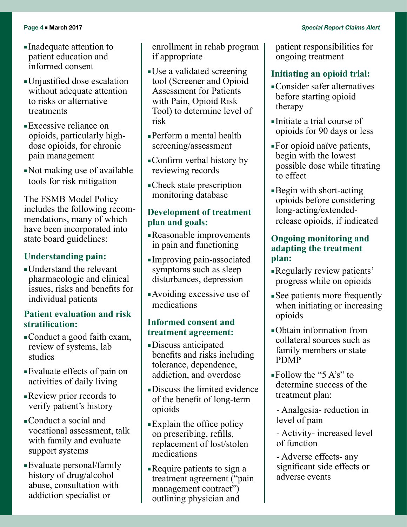- Inadequate attention to patient education and informed consent
- Unjustified dose escalation without adequate attention to risks or alternative treatments
- Excessive reliance on opioids, particularly highdose opioids, for chronic pain management
- Not making use of available tools for risk mitigation

The FSMB Model Policy includes the following recommendations, many of which have been incorporated into state board guidelines:

# **Understanding pain:**

 Understand the relevant pharmacologic and clinical issues, risks and benefits for individual patients

## **Patient evaluation and risk stratification:**

- Conduct a good faith exam, review of systems, lab studies
- Evaluate effects of pain on activities of daily living
- Review prior records to verify patient's history
- Conduct a social and vocational assessment, talk with family and evaluate support systems
- Evaluate personal/family history of drug/alcohol abuse, consultation with addiction specialist or

enrollment in rehab program if appropriate

- Use a validated screening tool (Screener and Opioid Assessment for Patients with Pain, Opioid Risk Tool) to determine level of risk
- Perform a mental health screening/assessment
- Confirm verbal history by reviewing records
- Check state prescription monitoring database

# **Development of treatment plan and goals:**

- Reasonable improvements in pain and functioning
- Improving pain-associated symptoms such as sleep disturbances, depression
- Avoiding excessive use of medications

# **Informed consent and treatment agreement:**

- Discuss anticipated benefits and risks including tolerance, dependence, addiction, and overdose
- Discuss the limited evidence of the benefit of long-term opioids
- Explain the office policy on prescribing, refills, replacement of lost/stolen medications
- Require patients to sign a treatment agreement ("pain management contract") outlining physician and

patient responsibilities for ongoing treatment

# **Initiating an opioid trial:**

- Consider safer alternatives before starting opioid therapy
- Initiate a trial course of opioids for 90 days or less
- For opioid naïve patients, begin with the lowest possible dose while titrating to effect
- Begin with short-acting opioids before considering long-acting/extendedrelease opioids, if indicated

## **Ongoing monitoring and adapting the treatment plan:**

- Regularly review patients' progress while on opioids
- See patients more frequently when initiating or increasing opioids
- Obtain information from collateral sources such as family members or state PDMP
- $\blacktriangleright$  Follow the "5 A's" to determine success of the treatment plan:
	- Analgesia- reduction in level of pain
	- Activity- increased level of function
	- Adverse effects- any significant side effects or adverse events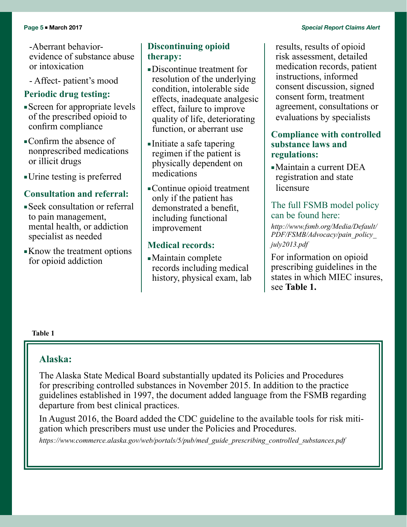#### **Page 5** n **March 2017** *Special Report Claims Alert*

-Aberrant behaviorevidence of substance abuse or intoxication

- Affect- patient's mood

#### **Periodic drug testing:**

- Screen for appropriate levels of the prescribed opioid to confirm compliance
- Confirm the absence of nonprescribed medications or illicit drugs
- Urine testing is preferred

#### **Consultation and referral:**

- Seek consultation or referral to pain management, mental health, or addiction specialist as needed
- Know the treatment options for opioid addiction

# **Discontinuing opioid therapy:**

- Discontinue treatment for resolution of the underlying condition, intolerable side effects, inadequate analgesic effect, failure to improve quality of life, deteriorating function, or aberrant use
- Initiate a safe tapering regimen if the patient is physically dependent on medications
- Continue opioid treatment only if the patient has demonstrated a benefit, including functional improvement

#### **Medical records:**

Maintain complete records including medical history, physical exam, lab results, results of opioid risk assessment, detailed medication records, patient instructions, informed consent discussion, signed consent form, treatment agreement, consultations or evaluations by specialists

#### **Compliance with controlled substance laws and regulations:**

Maintain a current DEA registration and state licensure

#### The full FSMB model policy can be found here:

*[http://www.fsmb.org/Media/Default/](http://www.fsmb.org/Media/Default/PDF/FSMB/Advocacy/pain_policy_july2013.pdf) [PDF/FSMB/Advocacy/pain\\_policy\\_](http://www.fsmb.org/Media/Default/PDF/FSMB/Advocacy/pain_policy_july2013.pdf) [july2013.pdf](http://www.fsmb.org/Media/Default/PDF/FSMB/Advocacy/pain_policy_july2013.pdf)*

For information on opioid prescribing guidelines in the states in which MIEC insures, see **Table 1.**

**Table 1**

#### **Alaska:**

The Alaska State Medical Board substantially updated its Policies and Procedures for prescribing controlled substances in November 2015. In addition to the practice guidelines established in 1997, the document added language from the FSMB regarding departure from best clinical practices.

In August 2016, the Board added the CDC guideline to the available tools for risk mitigation which prescribers must use under the Policies and Procedures.

*[https://www.commerce.alaska.gov/web/portals/5/pub/med\\_guide\\_prescribing\\_controlled\\_substances.pdf](https://www.commerce.alaska.gov/web/portals/5/pub/med_guide_prescribing_controlled_substances.pdf)*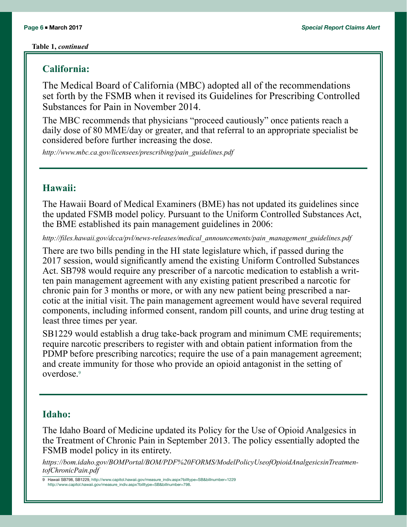#### **Table 1,** *continued*

#### **California:**

The Medical Board of California (MBC) adopted all of the recommendations set forth by the FSMB when it revised its Guidelines for Prescribing Controlled Substances for Pain in November 2014.

The MBC recommends that physicians "proceed cautiously" once patients reach a daily dose of 80 MME/day or greater, and that referral to an appropriate specialist be considered before further increasing the dose.

*[http://www.mbc.ca.gov/licensees/prescribing/pain\\_guidelines.pdf](http://www.mbc.ca.gov/licensees/prescribing/pain_guidelines.pdf)*

# **Hawaii:**

The Hawaii Board of Medical Examiners (BME) has not updated its guidelines since the updated FSMB model policy. Pursuant to the Uniform Controlled Substances Act, the BME established its pain management guidelines in 2006:

*[http://files.hawaii.gov/dcca/pvl/news-releases/medical\\_announcements/pain\\_management\\_guidelines.pdf](http://americanpainsociety.org/uploads/education/section_2.pdf)*

There are two bills pending in the HI state legislature which, if passed during the 2017 session, would significantly amend the existing Uniform Controlled Substances Act. SB798 would require any prescriber of a narcotic medication to establish a written pain management agreement with any existing patient prescribed a narcotic for chronic pain for 3 months or more, or with any new patient being prescribed a narcotic at the initial visit. The pain management agreement would have several required components, including informed consent, random pill counts, and urine drug testing at least three times per year.

SB1229 would establish a drug take-back program and minimum CME requirements; require narcotic prescribers to register with and obtain patient information from the PDMP before prescribing narcotics; require the use of a pain management agreement; and create immunity for those who provide an opioid antagonist in the setting of overdose.<sup>9</sup>

#### **Idaho:**

The Idaho Board of Medicine updated its Policy for the Use of Opioid Analgesics in the Treatment of Chronic Pain in September 2013. The policy essentially adopted the FSMB model policy in its entirety.

*[https://bom.idaho.gov/BOMPortal/BOM/PDF%20FORMS/ModelPolicyUseofOpioidAnalgesicsinTreatmen](https://bom.idaho.gov/BOMPortal/BOM/PDF%20FORMS/ModelPolicyUseofOpioidAnalgesicsinTreatmentofChronicPain.pdf)[tofChronicPain.pdf](https://bom.idaho.gov/BOMPortal/BOM/PDF%20FORMS/ModelPolicyUseofOpioidAnalgesicsinTreatmentofChronicPain.pdf)*

9 Hawaii SB798, SB1229, [http://www.capitol.hawaii.gov/measure\\_indiv.aspx?billtype=SB&billnumber=1229](http://www.capitol.hawaii.gov/measure_indiv.aspx?billtype=SB&billnumber=1229) [http://www.capitol.hawaii.gov/measure\\_indiv.aspx?billtype=SB&billnumber=798.](http://www.capitol.hawaii.gov/measure_indiv.aspx?billtype=SB&billnumber=798)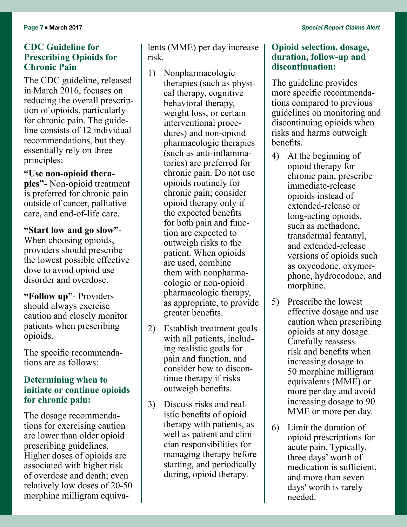#### <span id="page-6-0"></span>**CDC Guideline for Prescribing Opioids for Chronic Pain**

The CDC guideline, released in March 2016, focuses on reducing the overall prescription of opioids, particularly for chronic pain. The guideline consists of 12 individual recommendations, but they essentially rely on three principles:

#### **"Use non-opioid thera-**

**pies"**- Non-opioid treatment is preferred for chronic pain outside of cancer, palliative care, and end-of-life care.

**"Start low and go slow"**- When choosing opioids, providers should prescribe the lowest possible effective dose to avoid opioid use disorder and overdose.

**"Follow up"**- Providers should always exercise caution and closely monitor patients when prescribing opioids.

The specific recommendations are as follows:

#### **Determining when to initiate or continue opioids for chronic pain:**

The dosage recommendations for exercising caution are lower than older opioid prescribing guidelines. Higher doses of opioids are associated with higher risk of overdose and death; even relatively low doses of 20-50 morphine milligram equivalents (MME) per day increase risk.

- 1) Nonpharmacologic therapies (such as physical therapy, cognitive behavioral therapy, weight loss, or certain interventional procedures) and non-opioid pharmacologic therapies (such as anti-inflammatories) are preferred for chronic pain. Do not use opioids routinely for chronic pain; consider opioid therapy only if the expected benefits for both pain and function are expected to outweigh risks to the patient. When opioids are used, combine them with nonpharmacologic or non-opioid pharmacologic therapy, as appropriate, to provide greater benefits.
- 2) Establish treatment goals with all patients, including realistic goals for pain and function, and consider how to discontinue therapy if risks outweigh benefits.
- 3) Discuss risks and realistic benefits of opioid therapy with patients, as well as patient and clinician responsibilities for managing therapy before starting, and periodically during, opioid therapy.

#### **Opioid selection, dosage, duration, follow-up and discontinuation:**

The guideline provides more specific recommendations compared to previous guidelines on monitoring and discontinuing opioids when risks and harms outweigh benefits.

- 4) At the beginning of opioid therapy for chronic pain, prescribe immediate-release opioids instead of extended-release or long-acting opioids, such as methadone, transdermal fentanyl, and extended-release versions of opioids such as oxycodone, oxymorphone, hydrocodone, and morphine.
- 5) Prescribe the lowest effective dosage and use caution when prescribing opioids at any dosage. Carefully reassess risk and benefits when increasing dosage to 50 morphine milligram equivalents (MME) or more per day and avoid increasing dosage to 90 MME or more per day.
- 6) Limit the duration of opioid prescriptions for acute pain. Typically, three days' worth of medication is sufficient, and more than seven days' worth is rarely needed.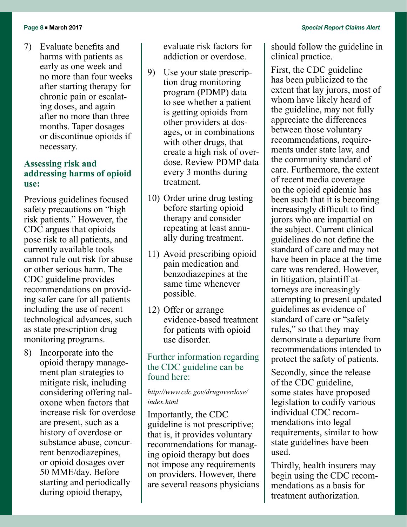7) Evaluate benefits and harms with patients as early as one week and no more than four weeks after starting therapy for chronic pain or escalating doses, and again after no more than three months. Taper dosages or discontinue opioids if necessary.

#### **Assessing risk and addressing harms of opioid use:**

Previous guidelines focused safety precautions on "high risk patients." However, the CDC argues that opioids pose risk to all patients, and currently available tools cannot rule out risk for abuse or other serious harm. The CDC guideline provides recommendations on providing safer care for all patients including the use of recent technological advances, such as state prescription drug monitoring programs.

8) Incorporate into the opioid therapy management plan strategies to mitigate risk, including considering offering naloxone when factors that increase risk for overdose are present, such as a history of overdose or substance abuse, concurrent benzodiazepines, or opioid dosages over 50 MME/day. Before starting and periodically during opioid therapy,

evaluate risk factors for addiction or overdose.

- 9) Use your state prescription drug monitoring program (PDMP) data to see whether a patient is getting opioids from other providers at dosages, or in combinations with other drugs, that create a high risk of overdose. Review PDMP data every 3 months during treatment.
- 10) Order urine drug testing before starting opioid therapy and consider repeating at least annually during treatment.
- 11) Avoid prescribing opioid pain medication and benzodiazepines at the same time whenever possible.
- 12) Offer or arrange evidence-based treatment for patients with opioid use disorder.

#### Further information regarding the CDC guideline can be found here:

#### *[http://www.cdc.gov/drugoverdose/](http://www.cdc.gov/drugoverdose/index.html) [index.html](http://www.cdc.gov/drugoverdose/index.html)*

Importantly, the CDC guideline is not prescriptive; that is, it provides voluntary recommendations for managing opioid therapy but does not impose any requirements on providers. However, there are several reasons physicians should follow the guideline in clinical practice.

First, the CDC guideline has been publicized to the extent that lay jurors, most of whom have likely heard of the guideline, may not fully appreciate the differences between those voluntary recommendations, requirements under state law, and the community standard of care. Furthermore, the extent of recent media coverage on the opioid epidemic has been such that it is becoming increasingly difficult to find jurors who are impartial on the subject. Current clinical guidelines do not define the standard of care and may not have been in place at the time care was rendered. However, in litigation, plaintiff attorneys are increasingly attempting to present updated guidelines as evidence of standard of care or "safety rules," so that they may demonstrate a departure from recommendations intended to protect the safety of patients.

Secondly, since the release of the CDC guideline, some states have proposed legislation to codify various individual CDC recommendations into legal requirements, similar to how state guidelines have been used.

Thirdly, health insurers may begin using the CDC recommendations as a basis for treatment authorization.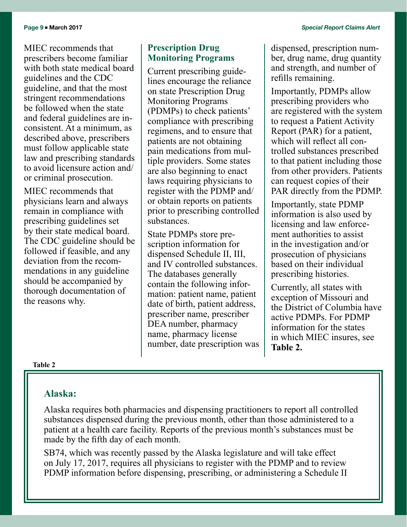<span id="page-8-0"></span>MIEC recommends that prescribers become familiar with both state medical board guidelines and the CDC guideline, and that the most stringent recommendations be followed when the state and federal guidelines are inconsistent. At a minimum, as described above, prescribers must follow applicable state law and prescribing standards to avoid licensure action and/ or criminal prosecution.

MIEC recommends that physicians learn and always remain in compliance with prescribing guidelines set by their state medical board. The CDC guideline should be followed if feasible, and any deviation from the recommendations in any guideline should be accompanied by thorough documentation of the reasons why.

# **Prescription Drug Monitoring Programs**

Current prescribing guidelines encourage the reliance on state Prescription Drug Monitoring Programs (PDMPs) to check patients' compliance with prescribing regimens, and to ensure that patients are not obtaining pain medications from multiple providers. Some states are also beginning to enact laws requiring physicians to register with the PDMP and/ or obtain reports on patients prior to prescribing controlled substances.

State PDMPs store prescription information for dispensed Schedule II, III, and IV controlled substances. The databases generally contain the following information: patient name, patient date of birth, patient address, prescriber name, prescriber DEA number, pharmacy name, pharmacy license number, date prescription was

dispensed, prescription number, drug name, drug quantity and strength, and number of refills remaining.

Importantly, PDMPs allow prescribing providers who are registered with the system to request a Patient Activity Report (PAR) for a patient, which will reflect all controlled substances prescribed to that patient including those from other providers. Patients can request copies of their PAR directly from the PDMP.

Importantly, state PDMP information is also used by licensing and law enforcement authorities to assist in the investigation and/or prosecution of physicians based on their individual prescribing histories.

Currently, all states with exception of Missouri and the District of Columbia have active PDMPs. For PDMP information for the states in which MIEC insures, see **Table 2.** 

#### **Table 2**

#### **Alaska:**

Alaska requires both pharmacies and dispensing practitioners to report all controlled substances dispensed during the previous month, other than those administered to a patient at a health care facility. Reports of the previous month's substances must be made by the fifth day of each month.

SB74, which was recently passed by the Alaska legislature and will take effect on July 17, 2017, requires all physicians to register with the PDMP and to review PDMP information before dispensing, prescribing, or administering a Schedule II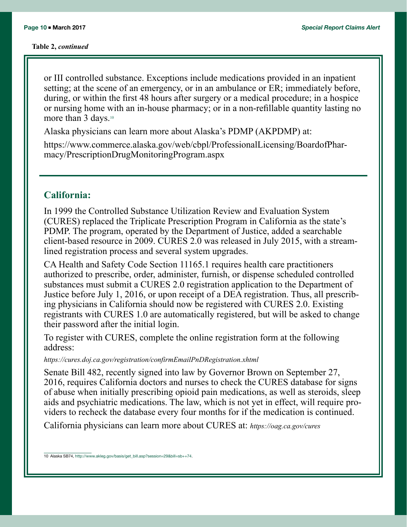#### **Table 2,** *continued*

or III controlled substance. Exceptions include medications provided in an inpatient setting; at the scene of an emergency, or in an ambulance or ER; immediately before, during, or within the first 48 hours after surgery or a medical procedure; in a hospice or nursing home with an in-house pharmacy; or in a non-refillable quantity lasting no more than 3 days.<sup>10</sup>

Alaska physicians can learn more about Alaska's PDMP (AKPDMP) at:

https://www.commerce.alaska.gov/web/cbpl/ProfessionalLicensing/BoardofPharmacy/PrescriptionDrugMonitoringProgram.aspx

## **California:**

In 1999 the Controlled Substance Utilization Review and Evaluation System (CURES) replaced the Triplicate Prescription Program in California as the state's PDMP. The program, operated by the Department of Justice, added a searchable client-based resource in 2009. CURES 2.0 was released in July 2015, with a streamlined registration process and several system upgrades.

CA Health and Safety Code Section 11165.1 requires health care practitioners authorized to prescribe, order, administer, furnish, or dispense scheduled controlled substances must submit a CURES 2.0 registration application to the Department of Justice before July 1, 2016, or upon receipt of a DEA registration. Thus, all prescribing physicians in California should now be registered with CURES 2.0. Existing registrants with CURES 1.0 are automatically registered, but will be asked to change their password after the initial login.

To register with CURES, complete the online registration form at the following address:

*[https://cures.doj.ca.gov/registration/confirmEmailPnDRegistration.xhtml](https://cures.doj.ca.gov/registration/confirmEmailPnDRegistration.xhtml )*

Senate Bill 482, recently signed into law by Governor Brown on September 27, 2016, requires California doctors and nurses to check the CURES database for signs of abuse when initially prescribing opioid pain medications, as well as steroids, sleep aids and psychiatric medications. The law, which is not yet in effect, will require providers to recheck the database every four months for if the medication is continued.

California physicians can learn more about CURES at: *<https://oag.ca.gov/cures>*

<sup>10</sup> Alaska SB74, [http://www.akleg.gov/basis/get\\_bill.asp?session=29&bill=sb++74](http://www.akleg.gov/basis/get_bill.asp?session=29&bill=sb++74).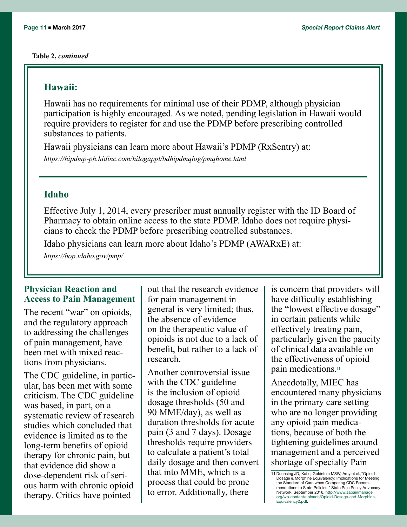#### <span id="page-10-0"></span>**Table 2,** *continued*

#### **Hawaii:**

Hawaii has no requirements for minimal use of their PDMP, although physician participation is highly encouraged. As we noted, pending legislation in Hawaii would require providers to register for and use the PDMP before prescribing controlled substances to patients.

Hawaii physicians can learn more about Hawaii's PDMP (RxSentry) at: *<https://hipdmp-ph.hidinc.com/hilogappl/bdhipdmqlog/pmqhome.html>*

#### **Idaho**

Effective July 1, 2014, every prescriber must annually register with the ID Board of Pharmacy to obtain online access to the state PDMP. Idaho does not require physicians to check the PDMP before prescribing controlled substances.

Idaho physicians can learn more about Idaho's PDMP (AWARxE) at:

*<https://bop.idaho.gov/pmp/>*

#### **Physician Reaction and Access to Pain Management**

The recent "war" on opioids, and the regulatory approach to addressing the challenges of pain management, have been met with mixed reactions from physicians.

The CDC guideline, in particular, has been met with some criticism. The CDC guideline was based, in part, on a systematic review of research studies which concluded that evidence is limited as to the long-term benefits of opioid therapy for chronic pain, but that evidence did show a dose-dependent risk of serious harm with chronic opioid therapy. Critics have pointed

out that the research evidence for pain management in general is very limited; thus, the absence of evidence on the therapeutic value of opioids is not due to a lack of benefit, but rather to a lack of research.

Another controversial issue with the CDC guideline is the inclusion of opioid dosage thresholds (50 and 90 MME/day), as well as duration thresholds for acute pain (3 and 7 days). Dosage thresholds require providers to calculate a patient's total daily dosage and then convert that into MME, which is a process that could be prone to error. Additionally, there

is concern that providers will have difficulty establishing the "lowest effective dosage" in certain patients while effectively treating pain, particularly given the paucity of clinical data available on the effectiveness of opioid pain medications.11

Anecdotally, MIEC has encountered many physicians in the primary care setting who are no longer providing any opioid pain medications, because of both the tightening guidelines around management and a perceived shortage of specialty Pain

<sup>11</sup> Duensing JD, Katie, Goldstein MSW, Amy et al.,"Opioid Dosage & Morphine Equivalency: Implications for Meeting the Standard of Care when Comparing CDC Recommendations to State Policies," State Pain Policy Advocacy Network, September 2016, [http://www.aapainmanage.](http://www.aapainmanage.org/wp-content/uploads/Opioid-Dosage-and-Morphine-Equivalency2.pdf ) [org/wp-content/uploads/Opioid-Dosage-and-Morphine-](http://www.aapainmanage.org/wp-content/uploads/Opioid-Dosage-and-Morphine-Equivalency2.pdf )[Equivalency2.pdf](http://www.aapainmanage.org/wp-content/uploads/Opioid-Dosage-and-Morphine-Equivalency2.pdf ).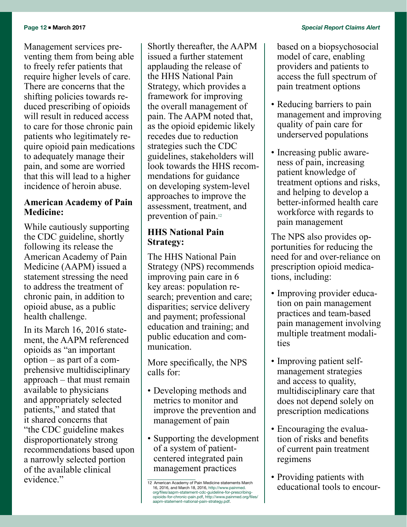Management services preventing them from being able to freely refer patients that require higher levels of care. There are concerns that the shifting policies towards reduced prescribing of opioids will result in reduced access to care for those chronic pain patients who legitimately require opioid pain medications to adequately manage their pain, and some are worried that this will lead to a higher incidence of heroin abuse.

#### **American Academy of Pain Medicine:**

While cautiously supporting the CDC guideline, shortly following its release the American Academy of Pain Medicine (AAPM) issued a statement stressing the need to address the treatment of chronic pain, in addition to opioid abuse, as a public health challenge.

In its March 16, 2016 statement, the AAPM referenced opioids as "an important option – as part of a comprehensive multidisciplinary approach – that must remain available to physicians and appropriately selected patients," and stated that it shared concerns that "the CDC guideline makes disproportionately strong recommendations based upon a narrowly selected portion of the available clinical evidence."

Shortly thereafter, the AAPM issued a further statement applauding the release of the HHS National Pain Strategy, which provides a framework for improving the overall management of pain. The AAPM noted that, as the opioid epidemic likely recedes due to reduction strategies such the CDC guidelines, stakeholders will look towards the HHS recommendations for guidance on developing system-level approaches to improve the assessment, treatment, and prevention of pain.12

# **HHS National Pain Strategy:**

The HHS National Pain Strategy (NPS) recommends improving pain care in 6 key areas: population research; prevention and care; disparities; service delivery and payment; professional education and training; and public education and communication.

More specifically, the NPS calls for:

- Developing methods and metrics to monitor and improve the prevention and management of pain
- Supporting the development of a system of patientcentered integrated pain management practices

based on a biopsychosocial model of care, enabling providers and patients to access the full spectrum of pain treatment options

- Reducing barriers to pain management and improving quality of pain care for underserved populations
- Increasing public awareness of pain, increasing patient knowledge of treatment options and risks, and helping to develop a better-informed health care workforce with regards to pain management

The NPS also provides opportunities for reducing the need for and over-reliance on prescription opioid medications, including:

- Improving provider education on pain management practices and team-based pain management involving multiple treatment modalities
- Improving patient selfmanagement strategies and access to quality, multidisciplinary care that does not depend solely on prescription medications
- Encouraging the evaluation of risks and benefits of current pain treatment regimens
- Providing patients with educational tools to encour-

<sup>12</sup> American Academy of Pain Medicine statements March 16, 2016, and March 18, 2016, [http://www.painmed.](http://www.painmed.org/files/aapm-statement-cdc-guideline-for-prescribing-opioids-for-chronic-pain.pdf) [org/files/aapm-statement-cdc-guideline-for-prescribing](http://www.painmed.org/files/aapm-statement-cdc-guideline-for-prescribing-opioids-for-chronic-pain.pdf)[opioids-for-chronic-pain.pdf](http://www.painmed.org/files/aapm-statement-cdc-guideline-for-prescribing-opioids-for-chronic-pain.pdf), [http://www.painmed.org/files/](http://www.painmed.org/files/aapm-statement-national-pain-strategy.pdf) [aapm-statement-national-pain-strategy.pdf.](http://www.painmed.org/files/aapm-statement-national-pain-strategy.pdf)